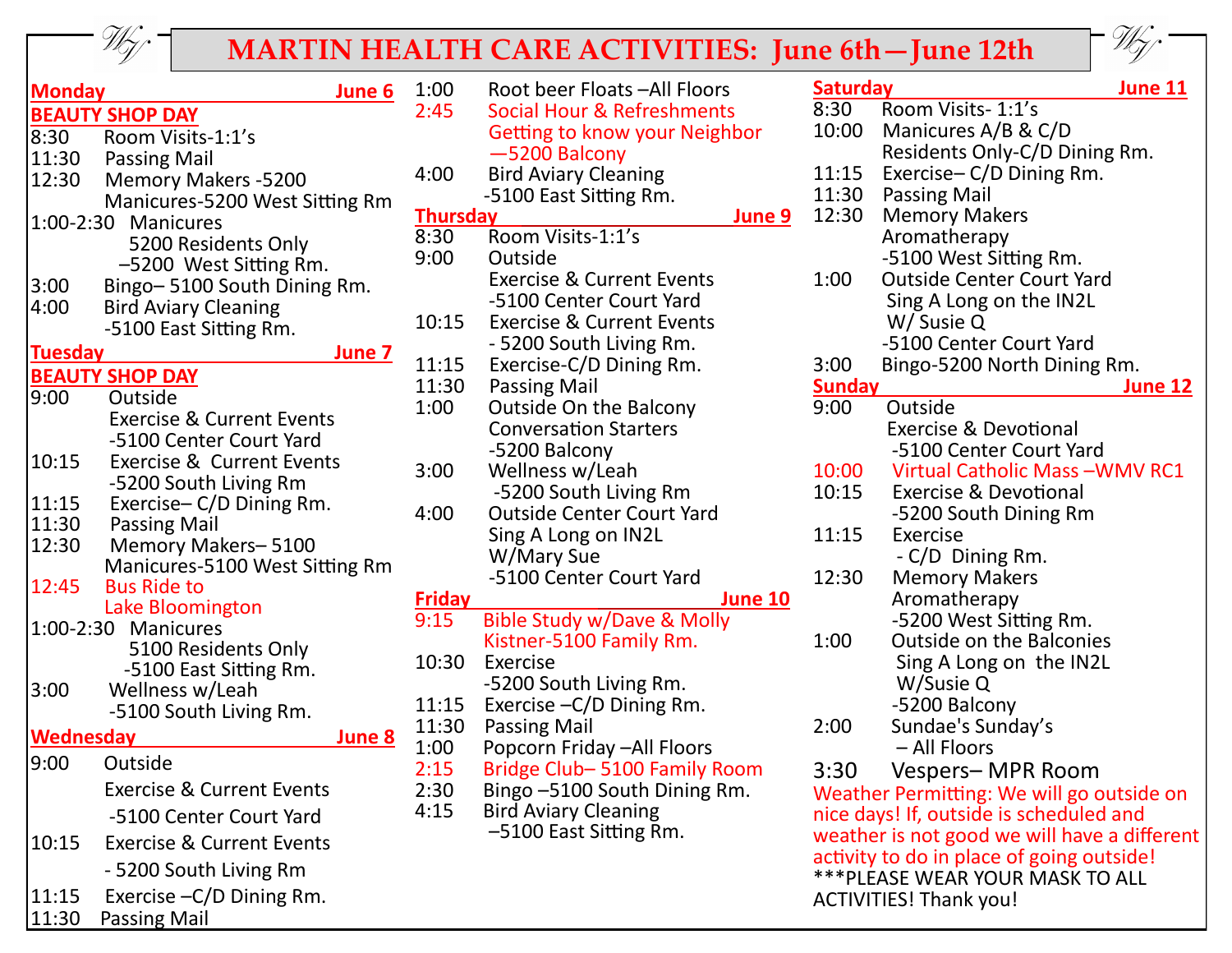

## **MARTIN HEALTH CARE ACTIVITIES: June 6th – June 12th**



| <b>Monday</b>  | June 6                               | 1:00          | Root beer Floats - All Floors                               | <b>Saturday</b> | June 11                                                                       |
|----------------|--------------------------------------|---------------|-------------------------------------------------------------|-----------------|-------------------------------------------------------------------------------|
|                | <b>BEAUTY SHOP DAY</b>               | 2:45          | <b>Social Hour &amp; Refreshments</b>                       | 8:30            | Room Visits- 1:1's                                                            |
| 8:30           | Room Visits-1:1's                    |               | Getting to know your Neighbor                               | 10:00           | Manicures A/B & C/D                                                           |
| 11:30          | <b>Passing Mail</b>                  |               | -5200 Balcony                                               |                 | Residents Only-C/D Dining Rm.                                                 |
| 12:30          | <b>Memory Makers -5200</b>           | 4:00          | <b>Bird Aviary Cleaning</b>                                 | 11:15           | Exercise-C/D Dining Rm.                                                       |
|                | Manicures-5200 West Sitting Rm       |               | -5100 East Sitting Rm.                                      | 11:30           | Passing Mail                                                                  |
|                | 1:00-2:30 Manicures                  |               | <b>Thursday</b><br>June 9                                   | 12:30           | <b>Memory Makers</b>                                                          |
|                | 5200 Residents Only                  | 8:30          | Room Visits-1:1's                                           |                 | Aromatherapy                                                                  |
|                | -5200 West Sitting Rm.               | 9:00          | Outside                                                     |                 | -5100 West Sitting Rm.                                                        |
| 3:00           | Bingo-5100 South Dining Rm.          |               | <b>Exercise &amp; Current Events</b>                        | 1:00            | <b>Outside Center Court Yard</b>                                              |
| 4:00           | <b>Bird Aviary Cleaning</b>          |               | -5100 Center Court Yard                                     |                 | Sing A Long on the IN2L                                                       |
|                | -5100 East Sitting Rm.               | 10:15         | <b>Exercise &amp; Current Events</b>                        |                 | W/ Susie Q                                                                    |
| <b>Tuesday</b> | June 7                               |               | - 5200 South Living Rm.                                     |                 | -5100 Center Court Yard                                                       |
|                | <b>BEAUTY SHOP DAY</b>               | 11:15         | Exercise-C/D Dining Rm.                                     | 3:00            | Bingo-5200 North Dining Rm.                                                   |
| 9:00           | Outside                              | 11:30         | <b>Passing Mail</b>                                         | <b>Sunday</b>   | June 12                                                                       |
|                | <b>Exercise &amp; Current Events</b> | 1:00          | <b>Outside On the Balcony</b>                               | 9:00            | Outside                                                                       |
|                | -5100 Center Court Yard              |               | <b>Conversation Starters</b>                                |                 | <b>Exercise &amp; Devotional</b>                                              |
| 10:15          | <b>Exercise &amp; Current Events</b> |               | -5200 Balcony                                               |                 | -5100 Center Court Yard                                                       |
|                | -5200 South Living Rm                | 3:00          | Wellness w/Leah                                             | 10:00           | Virtual Catholic Mass-WMV RC1                                                 |
| 11:15          | Exercise-C/D Dining Rm.              |               | -5200 South Living Rm                                       | 10:15           | <b>Exercise &amp; Devotional</b>                                              |
| 11:30          | <b>Passing Mail</b>                  | 4:00          | <b>Outside Center Court Yard</b>                            |                 | -5200 South Dining Rm                                                         |
| 12:30          | Memory Makers-5100                   |               | Sing A Long on IN2L                                         | 11:15           | Exercise                                                                      |
|                | Manicures-5100 West Sitting Rm       |               | W/Mary Sue                                                  |                 | - C/D Dining Rm.                                                              |
| 12:45          | <b>Bus Ride to</b>                   |               | -5100 Center Court Yard                                     | 12:30           | <b>Memory Makers</b>                                                          |
|                | Lake Bloomington                     | <b>Friday</b> | <b>June 10</b>                                              |                 | Aromatherapy                                                                  |
|                | 1:00-2:30 Manicures                  | 9:15          | Bible Study w/Dave & Molly                                  |                 | -5200 West Sitting Rm.                                                        |
|                | 5100 Residents Only                  |               | Kistner-5100 Family Rm.                                     | 1:00            | <b>Outside on the Balconies</b>                                               |
|                | -5100 East Sitting Rm.               | 10:30         | Exercise                                                    |                 | Sing A Long on the IN2L                                                       |
| 3:00           | Wellness w/Leah                      |               | -5200 South Living Rm.                                      |                 | W/Susie Q                                                                     |
|                | -5100 South Living Rm.               | 11:15         | Exercise - C/D Dining Rm.                                   |                 | -5200 Balcony                                                                 |
| Wednesday      | June 8                               | 11:30         | <b>Passing Mail</b>                                         | 2:00            | Sundae's Sunday's<br>– All Floors                                             |
| 9:00           | Outside                              | 1:00<br>2:15  | Popcorn Friday - All Floors<br>Bridge Club-5100 Family Room | 3:30            | Vespers- MPR Room                                                             |
|                | <b>Exercise &amp; Current Events</b> | 2:30          | Bingo -5100 South Dining Rm.                                |                 | Weather Permitting: We will go outside on                                     |
|                | -5100 Center Court Yard              | 4:15          | <b>Bird Aviary Cleaning</b>                                 |                 | nice days! If, outside is scheduled and                                       |
| 10:15          | <b>Exercise &amp; Current Events</b> |               | -5100 East Sitting Rm.                                      |                 | weather is not good we will have a different                                  |
|                | - 5200 South Living Rm               |               |                                                             |                 | activity to do in place of going outside!<br>*** PLEASE WEAR YOUR MASK TO ALL |
| 11:15          | Exercise - C/D Dining Rm.            |               |                                                             |                 | <b>ACTIVITIES! Thank you!</b>                                                 |
| 11:30          | Passing Mail                         |               |                                                             |                 |                                                                               |